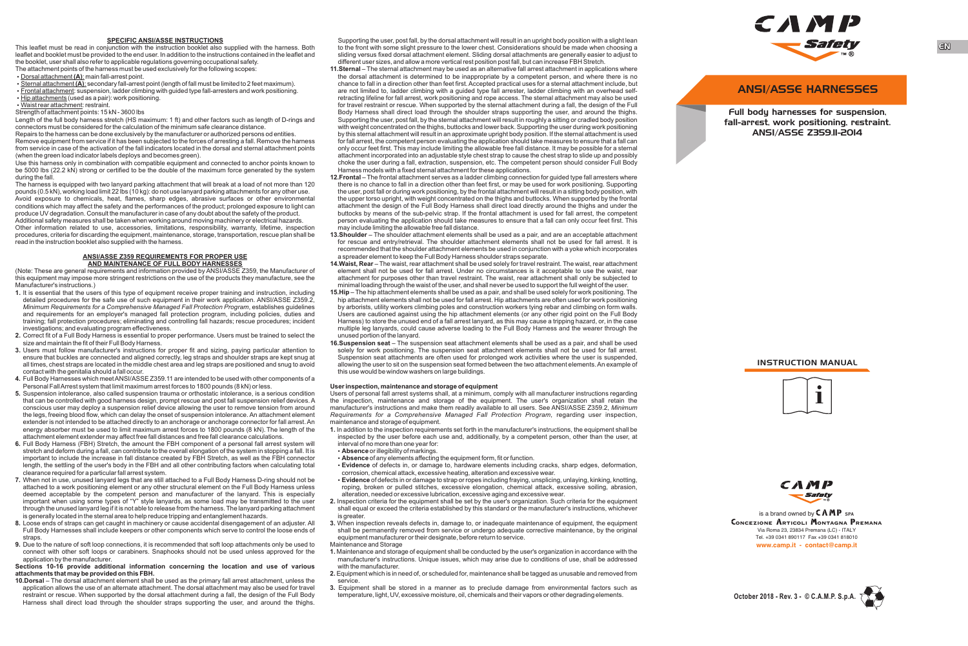## **SPECIFIC ANSI/ASSE INSTRUCTIONS**

This leaflet must be read in conjunction with the instruction booklet also supplied with the harness. Both leaflet and booklet must be provided to the end user. In addition to the instructions contained in the leaflet and the booklet, user shall also refer to applicable regulations governing occupational safety. The attachment points of the harness must be used exclusively for the following scopes:

 $\cdot$  Dorsal attachment **(A)**: main fall-arrest point.

 $\cdot$  Sternal attachment **(A)**: secondary fall-arrest point (length of fall must be limited to 2 feet maximum). • Frontal attachment: suspension, ladder climbing with guided type fall-arresters and work positioning.  $\cdot$  Hip attachments (used as a pair): work positioning.

 $\overline{\cdot}$  Waist rear attachment: restraint.

Strength of attachment points: 15 kN - 3600 lbs

Length of the full body harness stretch (HS maximum: 1 ft) and other factors such as length of D-rings and connectors must be considered for the calculation of the minimum safe clearance distance.

Repairs to the harness can be done exclusively by the manufacturer or authorized persons od entities. Remove equipment from service if it has been subjected to the forces of arresting a fall. Remove the harness from service in case of the activation of the fall indicators located in the dorsal and sternal attachment points (when the green load indicator labels deploys and becomes green).

Use this harness only in combination with compatible equipment and connected to anchor points known to be 5000 lbs (22.2 kN) strong or certified to be the double of the maximum force generated by the system during the fall.

The harness is equipped with two lanyard parking attachment that will break at a load of not more than 120 pounds (0.5 kN), working load limit 22 lbs (10 kg): do not use lanyard parking attachments for any other use. Avoid exposure to chemicals, heat, flames, sharp edges, abrasive surfaces or other environmental conditions which may affect the safety and the performances of the product; prolonged exposure to light can produce UV degradation. Consult the manufacturer in case of any doubt about the safety of the product. Additional safety measures shall be taken when working around moving machinery or electrical hazards. Other information related to use, accessories, limitations, responsibility, warranty, lifetime, inspection procedures, criteria for discarding the equipment, maintenance, storage, transportation, rescue plan shall be read in the instruction booklet also supplied with the harness.

## **ANSI/ASSE Z359 REQUIREMENTS FOR PROPER USE AND MAINTENANCE OF FULL BODY HARNESSES**

(Note: These are general requirements and information provided by ANSI/ASSE Z359, the Manufacturer of this equipment may impose more stringent restrictions on the use of the products they manufacture, see the Manufacturer's instructions.)

- **1.** It is essential that the users of this type of equipment receive proper training and instruction, including detailed procedures for the safe use of such equipment in their work application. ANSI/ASSE Z359.2, *Minimum Requirements for a Comprehensive Managed Fall Protection Program*, establishes guidelines and requirements for an employer's managed fall protection program, including policies, duties and training; fall protection procedures; eliminating and controlling fall hazards; rescue procedures; incident investigations; and evaluating program effectiveness.
- **2.** Correct fit of a Full Body Harness is essential to proper performance. Users must be trained to select the size and maintain the fit of their Full Body Harness.
- **3.** Users must follow manufacturer's instructions for proper fit and sizing, paying particular attention to ensure that buckles are connected and aligned correctly, leg straps and shoulder straps are kept snug at all times, chest straps are located in the middle chest area and leg straps are positioned and snug to avoid contact with the genitalia should a fall occur.
- **4.** Full Body Harnesses which meet ANSI/ASSE Z359.11 are intended to be used with other components of a Personal Fall Arrest system that limit maximum arrest forces to 1800 pounds (8 kN) or less.
- **5.** Suspension intolerance, also called suspension trauma or orthostatic intolerance, is a serious condition that can be controlled with good harness design, prompt rescue and post fall suspension relief devices. A conscious user may deploy a suspension relief device allowing the user to remove tension from around the legs, freeing blood flow, which can delay the onset of suspension intolerance. An attachment element extender is not intended to be attached directly to an anchorage or anchorage connector for fall arrest. An energy absorber must be used to limit maximum arrest forces to 1800 pounds (8 kN). The length of the attachment element extender may affect free fall distances and free fall clearance calculations.
- **6.** Full Body Harness (FBH) Stretch, the amount the FBH component of a personal fall arrest system will stretch and deform during a fall, can contribute to the overall elongation of the system in stopping a fall. It is important to include the increase in fall distance created by FBH Stretch, as well as the FBH connector length, the settling of the user's body in the FBH and all other contributing factors when calculating total clearance required for a particular fall arrest system.
- **7.** When not in use, unused lanyard legs that are still attached to a Full Body Harness D-ring should not be attached to a work positioning element or any other structural element on the Full Body Harness unless deemed acceptable by the competent person and manufacturer of the lanyard. This is especially important when using some types of "Y" style lanyards, as some load may be transmitted to the user through the unused lanyard leg if it is not able to release from the harness. The lanyard parking attachment is generally located in the sternal area to help reduce tripping and entanglement hazards.
- **8.** Loose ends of straps can get caught in machinery or cause accidental disengagement of an adjuster. All Full Body Harnesses shall include keepers or other components which serve to control the loose ends of straps. **9.** Due to the nature of soft loop connections, it is recommended that soft loop attachments only be used to
- connect with other soft loops or carabiners. Snaphooks should not be used unless approved for the application by the manufacturer.

## **Sections 10-16 provide additional information concerning the location and use of various attachments that may be provided on this FBH.**

**10.Dorsal** – The dorsal attachment element shall be used as the primary fall arrest attachment, unless the application allows the use of an alternate attachment. The dorsal attachment may also be used for travel restraint or rescue. When supported by the dorsal attachment during a fall, the design of the Full Body Harness shall direct load through the shoulder straps supporting the user, and around the thighs.

Supporting the user, post fall, by the dorsal attachment will result in an upright body position with a slight lean to the front with some slight pressure to the lower chest. Considerations should be made when choosing a sliding versus fixed dorsal attachment element. Sliding dorsal attachments are generally easier to adjust to different user sizes, and allow a more vertical rest position post fall, but can increase FBH Stretch.

**11.Sternal** – The sternal attachment may be used as an alternative fall arrest attachment in applications where the dorsal attachment is determined to be inappropriate by a competent person, and where there is no chance to fall in a direction other than feet first. Accepted practical uses for a sternal attachment include, but are not limited to, ladder climbing with a guided type fall arrester, ladder climbing with an overhead selfretracting lifeline for fall arrest, work positioning and rope access. The sternal attachment may also be used for travel restraint or rescue. When supported by the sternal attachment during a fall, the design of the Full Body Harness shall direct load through the shoulder straps supporting the user, and around the thighs. Supporting the user, post fall, by the sternal attachment will result in roughly a sitting or cradled body position with weight concentrated on the thighs, buttocks and lower back. Supporting the user during work positioning by this sternal attachment will result in an approximate upright body position. If the sternal attachment is used for fall arrest, the competent person evaluating the application should take measures to ensure that a fall can only occur feet first. This may include limiting the allowable free fall distance. It may be possible for a sternal attachment incorporated into an adjustable style chest strap to cause the chest strap to slide up and possibly choke the user during a fall, extraction, suspension, etc. The competent person should consider Full Body Harness models with a fixed sternal attachment for these applications.

**12.Frontal** – The frontal attachment serves as a ladder climbing connection for guided type fall arresters where there is no chance to fall in a direction other than feet first, or may be used for work positioning. Supporting the user, post fall or during work positioning, by the frontal attachment will result in a sitting body position, with the upper torso upright, with weight concentrated on the thighs and buttocks. When supported by the frontal attachment the design of the Full Body Harness shall direct load directly around the thighs and under the buttocks by means of the sub-pelvic strap. If the frontal attachment is used for fall arrest, the competent person evaluating the application should take measures to ensure that a fall can only occur feet first. This may include limiting the allowable free fall distance.

- **13.Shoulder**  The shoulder attachment elements shall be used as a pair, and are an acceptable attachment for rescue and entry/retrieval. The shoulder attachment elements shall not be used for fall arrest. It is recommended that the shoulder attachment elements be used in conjunction with a yoke which incorporates a spreader element to keep the Full Body Harness shoulder straps separate.
- **14.Waist, Rear**  The waist, rear attachment shall be used solely for travel restraint. The waist, rear attachment element shall not be used for fall arrest. Under no circumstances is it acceptable to use the waist, rearattachment for purposes other than travel restraint. The waist, rear attachment shall only be subjected to minimal loading through the waist of the user, and shall never be used to support the full weight of the user.
- **15.Hip**  The hip attachment elements shall be used as a pair, and shall be used solely for work positioning. The hip attachment elements shall not be used for fall arrest. Hip attachments are often used for work positioning by arborists, utility workers climbing poles and construction workers tying rebar and climbing on form walls. Users are cautioned against using the hip attachment elements (or any other rigid point on the Full Body Harness) to store the unused end of a fall arrest lanyard, as this may cause a tripping hazard, or, in the case multiple leg lanyards, could cause adverse loading to the Full Body Harness and the wearer through the unused portion of the lanyard.
- **16.Suspension seat**  The suspension seat attachment elements shall be used as a pair, and shall be used solely for work positioning. The suspension seat attachment elements shall not be used for fall arrest. Suspension seat attachments are often used for prolonged work activities where the user is suspended, allowing the user to sit on the suspension seat formed between the two attachment elements. An example of this use would be window washers on large buildings.

## **User inspection, maintenance and storage of equipment**

Users of personal fall arrest systems shall, at a minimum, comply with all manufacturer instructions regarding the inspection, maintenance and storage of the equipment. The user's organization shall retain the manufacturer's instructions and make them readily available to all users. See ANSI/ASSE Z359.2, *Minimum Requirements for a Comprehensive Managed Fall Protection Program*, regarding user inspection, maintenance and storage of equipment.

- **1.** In addition to the inspection requirements set forth in the manufacturer's instructions, the equipment shall be inspected by the user before each use and, additionally, by a competent person, other than the user, at interval of no more than one year for:
- **Absence** or illegibility of markings.
- **Absence** of any elements affecting the equipment form, fit or function.
- Ÿ **Evidence** of defects in, or damage to, hardware elements including cracks, sharp edges, deformation, corrosion, chemical attack, excessive heating, alteration and excessive wear.
- **Evidence** of defects in or damage to strap or ropes including fraying, unsplicing, unlaying, kinking, knotting, roping, broken or pulled stitches, excessive elongation, chemical attack, excessive soiling, abrasion, alteration, needed or excessive lubrication, excessive aging and excessive wear.
- **2.** Inspection criteria for the equipment shall be set by the user's organization. Such criteria for the equipment shall equal or exceed the criteria established by this standard or the manufacturer's instructions, whichever is greater.
- **3.** When inspection reveals defects in, damage to, or inadequate maintenance of equipment, the equipment shall be permanently removed from service or undergo adequate corrective maintenance, by the original equipment manufacturer or their designate, before return to service.
- Maintenance and Storage
- **1.** Maintenance and storage of equipment shall be conducted by the user's organization in accordance with the manufacturer's instructions. Unique issues, which may arise due to conditions of use, shall be addressed with the manufacturer.
- **2.** Equipment which is in need of, or scheduled for, maintenance shall be tagged as unusable and removed from
- service. **3.** Equipment shall be stored in a manner as to preclude damage from environmental factors such as temperature, light, UV, excessive moisture, oil, chemicals and their vapors or other degrading elements.



ANSI/ASSE HARNESSES

Full body harnesses for suspension, fall-arrest, work positioning, restraint. ANSI/ASSE Z359.11-2014







Via Roma 23, 23834 Premana (LC) - ITALY Tel. +39 0341 890117 Fax +39 0341 818010 **www.camp.it - contact@camp.it** CONCEZIONE ARTICOLI MONTAGNA PREMANA is a brand owned by CAMP **SPA**